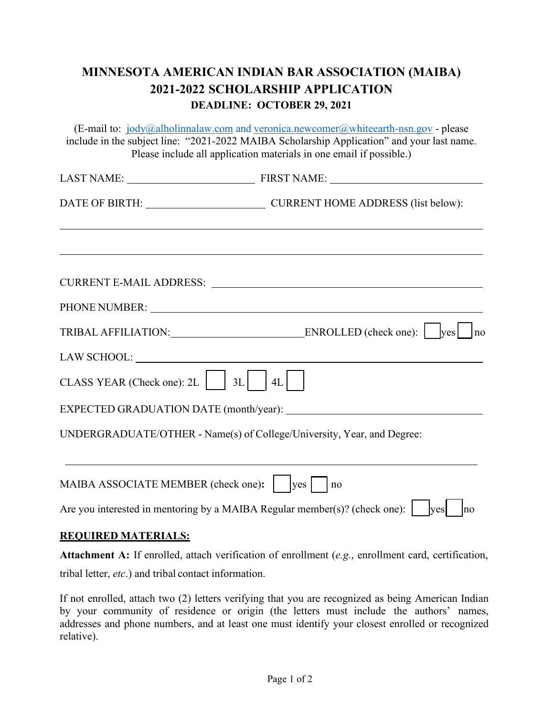## **MINNESOTA AMERICAN INDIAN BAR ASSOCIATION (MAIBA) 2021-2022 SCHOLARSHIP APPLICATION DEADLINE: OCTOBER 29, 2021**

(E-mail to:  $jody@alholimalaw.com$  and veronica.newcomer $@$ whiteearth-nsn.gov - please include in the subject line: "2021-2022 MAIBA Scholarship Application" and your last name. Please include all application materials in one email if possible.)

|                                                                                                                                                                                                                                | DATE OF BIRTH: CURRENT HOME ADDRESS (list below):                      |
|--------------------------------------------------------------------------------------------------------------------------------------------------------------------------------------------------------------------------------|------------------------------------------------------------------------|
|                                                                                                                                                                                                                                |                                                                        |
|                                                                                                                                                                                                                                | CURRENT E-MAIL ADDRESS:                                                |
|                                                                                                                                                                                                                                |                                                                        |
|                                                                                                                                                                                                                                | TRIBAL AFFILIATION: ENROLLED (check one): \[ \] \] \pes \[ \] \] no    |
| LAW SCHOOL: University of the set of the set of the set of the set of the set of the set of the set of the set of the set of the set of the set of the set of the set of the set of the set of the set of the set of the set o |                                                                        |
| CLASS YEAR (Check one): 2L     3L   $ 4L $                                                                                                                                                                                     |                                                                        |
|                                                                                                                                                                                                                                | EXPECTED GRADUATION DATE (month/year):                                 |
|                                                                                                                                                                                                                                | UNDERGRADUATE/OTHER - Name(s) of College/University, Year, and Degree: |
|                                                                                                                                                                                                                                |                                                                        |

| MAIBA ASSOCIATE MEMBER (check one): $\Box$ yes $\Box$ no                                 |
|------------------------------------------------------------------------------------------|
| Are you interested in mentoring by a MAIBA Regular member(s)? (check one): $\Box$ yes no |

## **REQUIRED MATERIALS:**

**Attachment A:** If enrolled, attach verification of enrollment (*e.g.*, enrollment card, certification, tribal letter, *etc*.) and tribal contact information.

If not enrolled, attach two (2) letters verifying that you are recognized as being American Indian by your community of residence or origin (the letters must include the authors' names, addresses and phone numbers, and at least one must identify your closest enrolled or recognized relative).